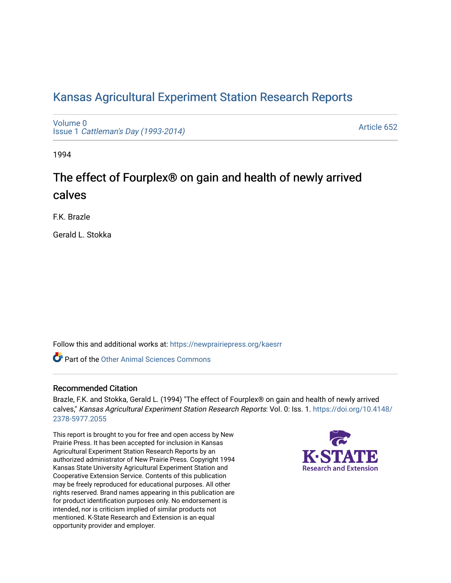# [Kansas Agricultural Experiment Station Research Reports](https://newprairiepress.org/kaesrr)

[Volume 0](https://newprairiepress.org/kaesrr/vol0) Issue 1 [Cattleman's Day \(1993-2014\)](https://newprairiepress.org/kaesrr/vol0/iss1) 

[Article 652](https://newprairiepress.org/kaesrr/vol0/iss1/652) 

1994

# The effect of Fourplex® on gain and health of newly arrived calves

F.K. Brazle

Gerald L. Stokka

Follow this and additional works at: [https://newprairiepress.org/kaesrr](https://newprairiepress.org/kaesrr?utm_source=newprairiepress.org%2Fkaesrr%2Fvol0%2Fiss1%2F652&utm_medium=PDF&utm_campaign=PDFCoverPages) 

**C** Part of the [Other Animal Sciences Commons](http://network.bepress.com/hgg/discipline/82?utm_source=newprairiepress.org%2Fkaesrr%2Fvol0%2Fiss1%2F652&utm_medium=PDF&utm_campaign=PDFCoverPages)

## Recommended Citation

Brazle, F.K. and Stokka, Gerald L. (1994) "The effect of Fourplex® on gain and health of newly arrived calves," Kansas Agricultural Experiment Station Research Reports: Vol. 0: Iss. 1. [https://doi.org/10.4148/](https://doi.org/10.4148/2378-5977.2055) [2378-5977.2055](https://doi.org/10.4148/2378-5977.2055) 

This report is brought to you for free and open access by New Prairie Press. It has been accepted for inclusion in Kansas Agricultural Experiment Station Research Reports by an authorized administrator of New Prairie Press. Copyright 1994 Kansas State University Agricultural Experiment Station and Cooperative Extension Service. Contents of this publication may be freely reproduced for educational purposes. All other rights reserved. Brand names appearing in this publication are for product identification purposes only. No endorsement is intended, nor is criticism implied of similar products not mentioned. K-State Research and Extension is an equal opportunity provider and employer.

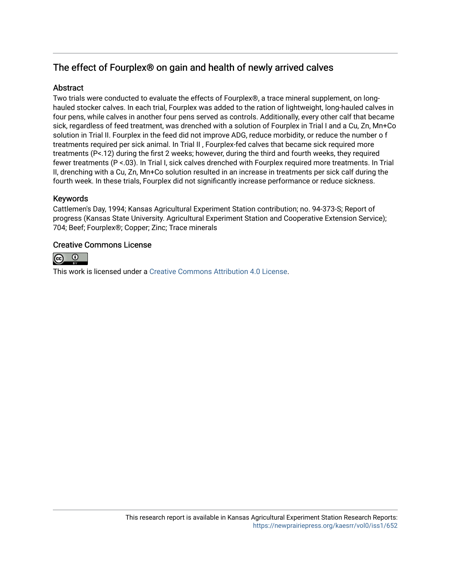# The effect of Fourplex® on gain and health of newly arrived calves

## Abstract

Two trials were conducted to evaluate the effects of Fourplex®, a trace mineral supplement, on longhauled stocker calves. In each trial, Fourplex was added to the ration of lightweight, long-hauled calves in four pens, while calves in another four pens served as controls. Additionally, every other calf that became sick, regardless of feed treatment, was drenched with a solution of Fourplex in Trial I and a Cu, Zn, Mn+Co solution in Trial II. Fourplex in the feed did not improve ADG, reduce morbidity, or reduce the number o f treatments required per sick animal. In Trial II , Fourplex-fed calves that became sick required more treatments (P<.12) during the first 2 weeks; however, during the third and fourth weeks, they required fewer treatments (P <.03). In Trial I, sick calves drenched with Fourplex required more treatments. In Trial II, drenching with a Cu, Zn, Mn+Co solution resulted in an increase in treatments per sick calf during the fourth week. In these trials, Fourplex did not significantly increase performance or reduce sickness.

# Keywords

Cattlemen's Day, 1994; Kansas Agricultural Experiment Station contribution; no. 94-373-S; Report of progress (Kansas State University. Agricultural Experiment Station and Cooperative Extension Service); 704; Beef; Fourplex®; Copper; Zinc; Trace minerals

## Creative Commons License



This work is licensed under a [Creative Commons Attribution 4.0 License](https://creativecommons.org/licenses/by/4.0/).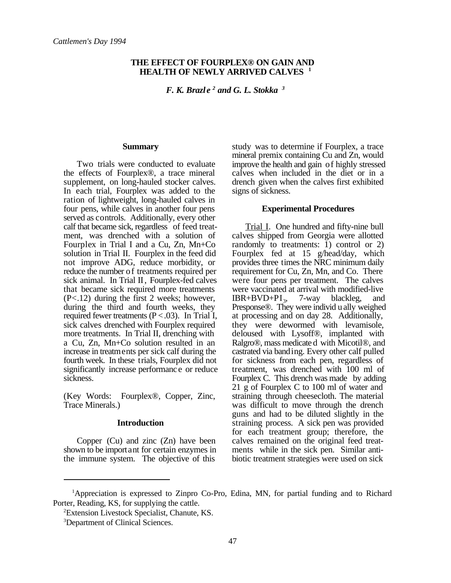#### **THE EFFECT OF FOURPLEX® ON GAIN AND HEALTH OF NEWLY ARRIVED CALVES <sup>1</sup>**

*F. K. Brazle<sup>2</sup> and G. L. Stokka<sup>3</sup>* 

#### **Summary**

Two trials were conducted to evaluate the effects of Fourplex®, a trace mineral supplement, on long-hauled stocker calves. In each trial, Fourplex was added to the ration of lightweight, long-hauled calves in four pens, while calves in another four pens served as controls. Additionally, every other calf that became sick, regardless of feed treatment, was drenched with a solution of Fourplex in Trial I and a Cu, Zn, Mn+Co solution in Trial II. Fourplex in the feed did not improve ADG, reduce morbidity, or reduce the number of treatments required per sick animal. In Trial II, Fourplex-fed calves that became sick required more treatments (P<.12) during the first 2 weeks; however, during the third and fourth weeks, they required fewer treatments  $(P < .03)$ . In Trial I, sick calves drenched with Fourplex required more treatments. In Trial II, drenching with a Cu, Zn, Mn+Co solution resulted in an increase in treatments per sick calf during the fourth week. In these trials, Fourplex did not significantly increase performanc e or reduce sickness.

(Key Words: Fourplex®, Copper, Zinc, Trace Minerals.)

#### **Introduction**

Copper (Cu) and zinc (Zn) have been shown to be important for certain enzymes in the immune system. The objective of this

study was to determine if Fourplex, a trace mineral premix containing Cu and Zn, would improve the health and gain of highly stressed calves when included in the diet or in a drench given when the calves first exhibited signs of sickness.

#### **Experimental Procedures**

Trial I. One hundred and fifty-nine bull calves shipped from Georgia were allotted randomly to treatments: 1) control or 2) Fourplex fed at 15 g/head/day, which provides three times the NRC minimum daily requirement for Cu, Zn, Mn, and Co. There were four pens per treatment. The calves were vaccinated at arrival with modified-live  $IBR+BVD+PI_3$ , 7-way blackleg, and Presponse®. They were individ u ally weighed at processing and on day 28. Additionally, they were dewormed with levamisole, deloused with Lysoff®, implanted with Ralgro®, mass medicate d with Micotil®, and castrated via banding. Every other calf pulled for sickness from each pen, regardless of treatment, was drenched with 100 ml of Fourplex C. This drench was made by adding 21 g of Fourplex C to 100 ml of water and straining through cheesecloth. The material was difficult to move through the drench guns and had to be diluted slightly in the straining process. A sick pen was provided for each treatment group; therefore, the calves remained on the original feed treatments while in the sick pen. Similar antibiotic treatment strategies were used on sick

<sup>&</sup>lt;sup>1</sup>Appreciation is expressed to Zinpro Co-Pro, Edina, MN, for partial funding and to Richard Porter, Reading, KS, for supplying the cattle.

Extension Livestock Specialist, Chanute, KS. <sup>2</sup>

<sup>&</sup>lt;sup>3</sup>Department of Clinical Sciences.